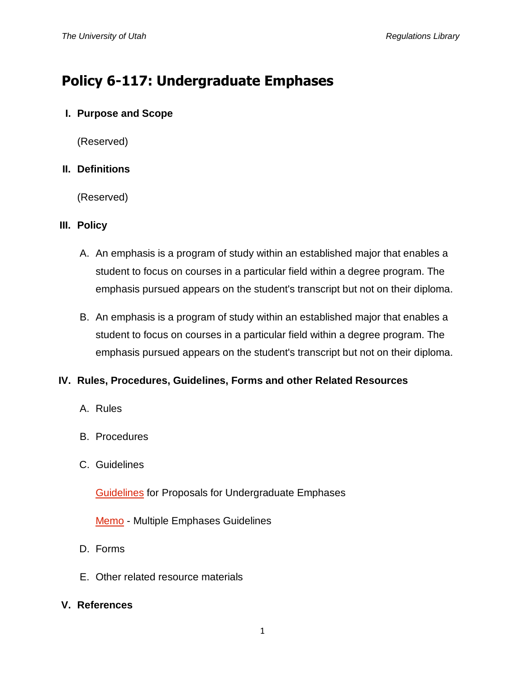# **Policy 6-117: Undergraduate Emphases**

## **I. Purpose and Scope**

(Reserved)

## **II. Definitions**

(Reserved)

# **III. Policy**

- A. An emphasis is a program of study within an established major that enables a student to focus on courses in a particular field within a degree program. The emphasis pursued appears on the student's transcript but not on their diploma.
- B. An emphasis is a program of study within an established major that enables a student to focus on courses in a particular field within a degree program. The emphasis pursued appears on the student's transcript but not on their diploma.

# **IV. Rules, Procedures, Guidelines, Forms and other Related Resources**

- A. Rules
- B. Procedures
- C. Guidelines

[Guidelines](http://regulations.utah.edu/academics/guidelines/guideline_6-117.pdf) for Proposals for Undergraduate Emphases

[Memo](http://regulations.utah.edu/academics/revisions_6/6-101%20multiple%20emphases%20guidelines%20memo.pdf) - Multiple Emphases Guidelines

- D. Forms
- E. Other related resource materials

## **V. References**